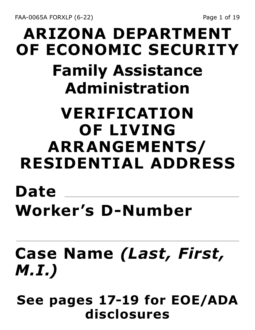FAA-0065A FORXLP (6-22) Page 1 of 19

## **ARIZONA DEPARTMENT OF ECONOMIC SECURITY Family Assistance Administration**

#### **VERIFICATION OF LIVING ARRANGEMENTS/ RESIDENTIAL ADDRESS**

#### **Date Worker's D-Number**

## **Case Name** *(Last, First, M.I.)*

**See pages 17-19 for EOE/ADA disclosures**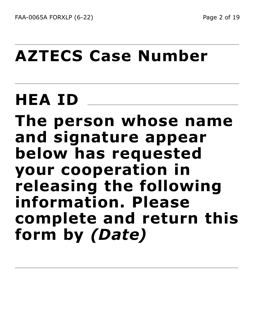## **AZTECS Case Number**

# **HEA ID**

**The person whose name and signature appear below has requested your cooperation in releasing the following information. Please complete and return this form by** *(Date)*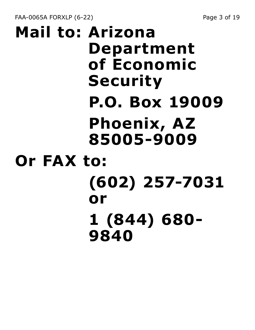FAA-0065A FORXLP (6-22) Page 3 of 19

## **Mail to: Arizona Department of Economic Security P.O. Box 19009 Phoenix, AZ 85005-9009 Or FAX to: (602) 257-7031 or 1 (844) 680- 9840**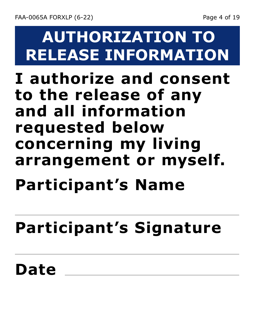## **AUTHORIZATION TO RELEASE INFORMATION**

#### **I authorize and consent to the release of any and all information requested below concerning my living arrangement or myself.**

# **Participant's Name**

# **Participant's Signature**

#### **Date**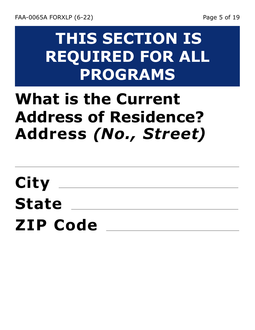#### **THIS SECTION IS REQUIRED FOR ALL PROGRAMS**

### **What is the Current Address of Residence? Address** *(No., Street)*

**City State ZIP Code**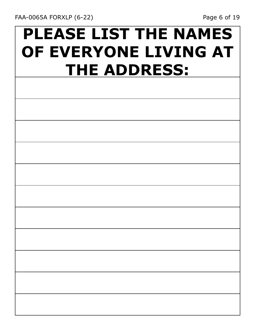## **PLEASE LIST THE NAMES OF EVERYONE LIVING AT THE ADDRESS:**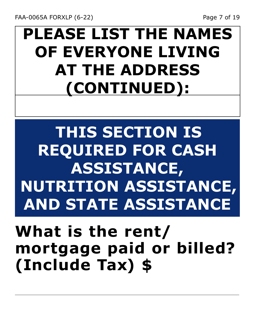## **PLEASE LIST THE NAMES OF EVERYONE LIVING AT THE ADDRESS (CONTINUED):**

**THIS SECTION IS REQUIRED FOR CASH ASSISTANCE, NUTRITION ASSISTANCE, AND STATE ASSISTANCE**

#### **What is the rent/ mortgage paid or billed? (Include Tax) \$**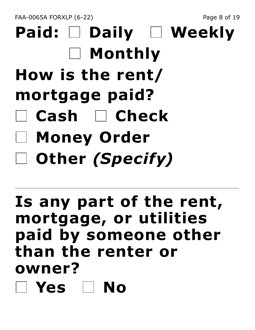FAA-0065A FORXLP (6-22) Page 8 of 19

# **Paid: Daily Weekly Monthly How is the rent/ mortgage paid? Cash Check Money Order Other** *(Specify)*

#### **Is any part of the rent, mortgage, or utilities paid by someone other than the renter or owner? Yes No**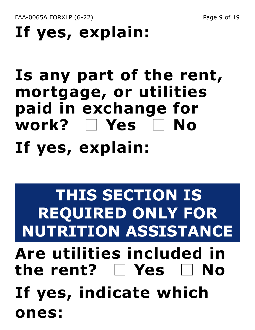FAA-0065A FORXLP (6-22) Page 9 of 19

# **If yes, explain:**

#### **Is any part of the rent, mortgage, or utilities paid in exchange for work? Yes No If yes, explain:**

# **THIS SECTION IS REQUIRED ONLY FOR NUTRITION ASSISTANCE Are utilities included in the rent? Yes No If yes, indicate which ones:**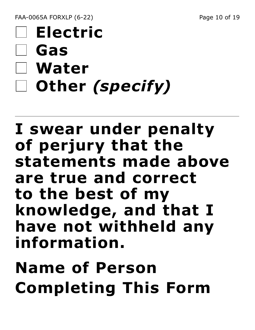FAA-0065A FORXLP (6-22) Page 10 of 19

## **Electric Gas Water Other** *(specify)*

#### **I swear under penalty of perjury that the statements made above are true and correct to the best of my knowledge, and that I have not withheld any information.**

# **Name of Person Completing This Form**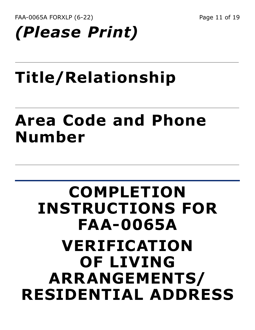FAA-0065A FORXLP (6-22) Page 11 of 19

# *(Please Print)*

# **Title/Relationship**

#### **Area Code and Phone Number**

#### **COMPLETION INSTRUCTIONS FOR FAA-0065A VERIFICATION OF LIVING ARRANGEMENTS/ RESIDENTIAL ADDRESS**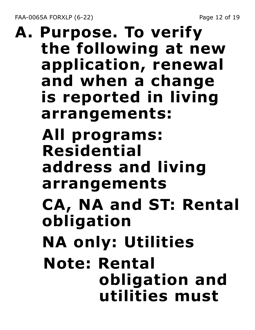FAA-0065A FORXLP (6-22) Page 12 of 19

#### **A. Purpose. To verify the following at new application, renewal and when a change is reported in living arrangements: All programs: Residential address and living arrangements CA, NA and ST: Rental obligation NA only: Utilities Note: Rental obligation and utilities must**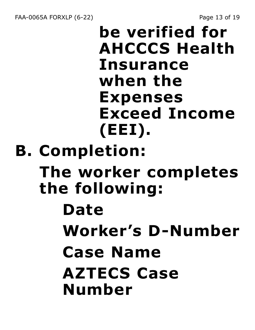**be verified for AHCCCS Health Insurance when the Expenses Exceed Income (EEI). B. Completion:**

**The worker completes the following:**

#### **Date**

- **Worker's D-Number**
- **Case Name**

#### **AZTECS Case Number**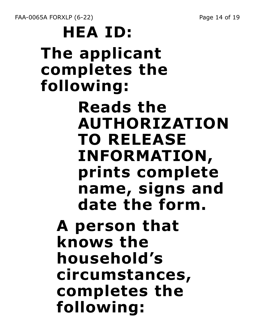FAA-0065A FORXLP (6-22) Page 14 of 19

**HEA ID: The applicant completes the following: Reads the AUTHORIZATION TO RELEASE INFORMATION, prints complete name, signs and date the form. A person that knows the household's circumstances, completes the following:**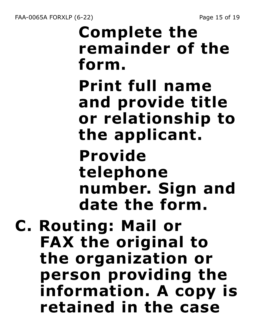# **Complete the remainder of the form. Print full name and provide title or relationship to the applicant. Provide telephone number. Sign and date the form. C. Routing: Mail or**

**FAX the original to the organization or person providing the information. A copy is retained in the case**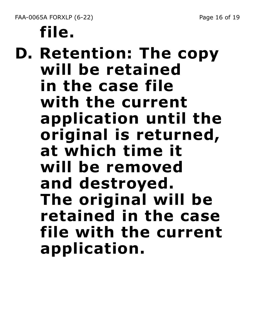# **file.**

**D. Retention: The copy will be retained in the case file with the current application until the original is returned, at which time it will be removed and destroyed. The original will be retained in the case file with the current application.**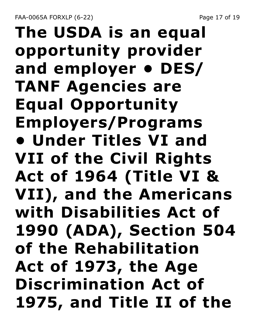FAA-0065A FORXLP (6-22) Page 17 of 19

## **The USDA is an equal opportunity provider and employer • DES/ TANF Agencies are Equal Opportunity Employers/Programs • Under Titles VI and VII of the Civil Rights Act of 1964 (Title VI & VII), and the Americans with Disabilities Act of 1990 (ADA), Section 504 of the Rehabilitation Act of 1973, the Age Discrimination Act of 1975, and Title II of the**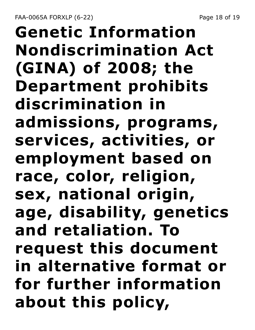FAA-0065A FORXLP (6-22) Page 18 of 19

## **Genetic Information Nondiscrimination Act (GINA) of 2008; the Department prohibits discrimination in admissions, programs, services, activities, or employment based on race, color, religion, sex, national origin, age, disability, genetics and retaliation. To request this document in alternative format or for further information about this policy,**